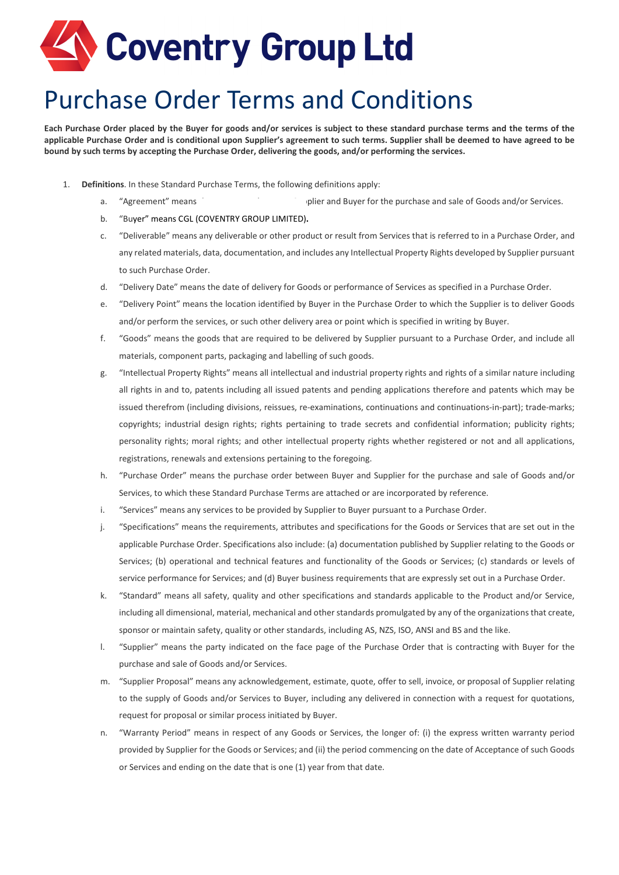# Coventry Group Ltd

## Purchase Order Terms and Conditions

**Each Purchase Order placed by the Buyer for goods and/or services is subject to these standard purchase terms and the terms of the applicable Purchase Order and is conditional upon Supplier's agreement to such terms. Supplier shall be deemed to have agreed to be bound by such terms by accepting the Purchase Order, delivering the goods, and/or performing the services.**

- 1. **Definitions**. In these Standard Purchase Terms, the following definitions apply:
	- a. "Agreement" means the agreement between Supplier and Buyer for the purchase and sale of Goods and/or Services.
	- b. "Buyer" means CGL (COVENTRY GROUP LIMITED)**.**
	- c. "Deliverable" means any deliverable or other product or result from Services that is referred to in a Purchase Order, and any related materials, data, documentation, and includes any Intellectual Property Rights developed by Supplier pursuant to such Purchase Order.
	- d. "Delivery Date" means the date of delivery for Goods or performance of Services as specified in a Purchase Order.
	- e. "Delivery Point" means the location identified by Buyer in the Purchase Order to which the Supplier is to deliver Goods and/or perform the services, or such other delivery area or point which is specified in writing by Buyer.
	- f. "Goods" means the goods that are required to be delivered by Supplier pursuant to a Purchase Order, and include all materials, component parts, packaging and labelling of such goods.
	- g. "Intellectual Property Rights" means all intellectual and industrial property rights and rights of a similar nature including all rights in and to, patents including all issued patents and pending applications therefore and patents which may be issued therefrom (including divisions, reissues, re-examinations, continuations and continuations-in-part); trade-marks; copyrights; industrial design rights; rights pertaining to trade secrets and confidential information; publicity rights; personality rights; moral rights; and other intellectual property rights whether registered or not and all applications, registrations, renewals and extensions pertaining to the foregoing.
	- h. "Purchase Order" means the purchase order between Buyer and Supplier for the purchase and sale of Goods and/or Services, to which these Standard Purchase Terms are attached or are incorporated by reference.
	- i. "Services" means any services to be provided by Supplier to Buyer pursuant to a Purchase Order.
	- j. "Specifications" means the requirements, attributes and specifications for the Goods or Services that are set out in the applicable Purchase Order. Specifications also include: (a) documentation published by Supplier relating to the Goods or Services; (b) operational and technical features and functionality of the Goods or Services; (c) standards or levels of service performance for Services; and (d) Buyer business requirements that are expressly set out in a Purchase Order.
	- k. "Standard" means all safety, quality and other specifications and standards applicable to the Product and/or Service, including all dimensional, material, mechanical and other standards promulgated by any of the organizations that create, sponsor or maintain safety, quality or other standards, including AS, NZS, ISO, ANSI and BS and the like.
	- l. "Supplier" means the party indicated on the face page of the Purchase Order that is contracting with Buyer for the purchase and sale of Goods and/or Services.
	- m. "Supplier Proposal" means any acknowledgement, estimate, quote, offer to sell, invoice, or proposal of Supplier relating to the supply of Goods and/or Services to Buyer, including any delivered in connection with a request for quotations, request for proposal or similar process initiated by Buyer.
	- n. "Warranty Period" means in respect of any Goods or Services, the longer of: (i) the express written warranty period provided by Supplier for the Goods or Services; and (ii) the period commencing on the date of Acceptance of such Goods or Services and ending on the date that is one (1) year from that date.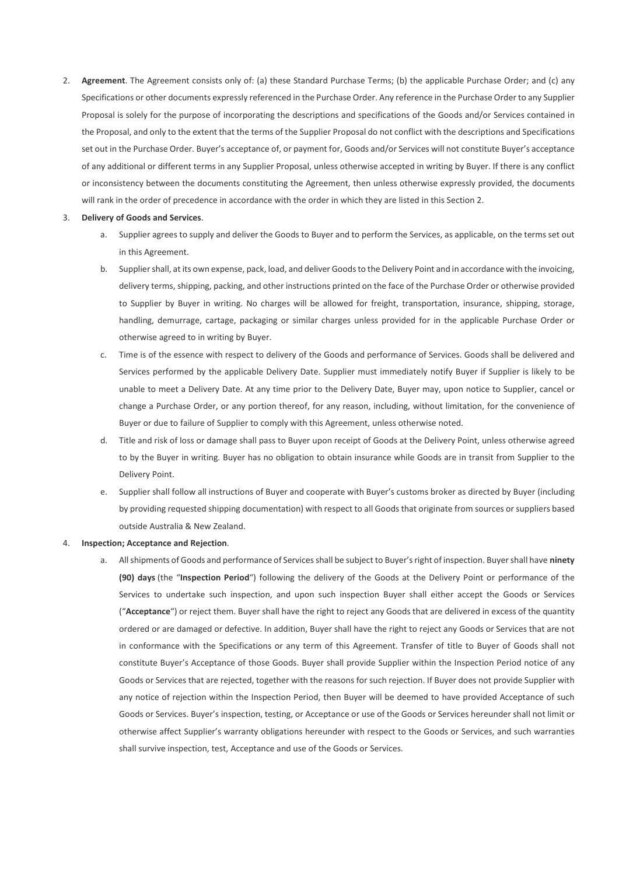2. **Agreement**. The Agreement consists only of: (a) these Standard Purchase Terms; (b) the applicable Purchase Order; and (c) any Specifications or other documents expressly referenced in the Purchase Order. Any reference in the Purchase Order to any Supplier Proposal is solely for the purpose of incorporating the descriptions and specifications of the Goods and/or Services contained in the Proposal, and only to the extent that the terms of the Supplier Proposal do not conflict with the descriptions and Specifications set out in the Purchase Order. Buyer's acceptance of, or payment for, Goods and/or Services will not constitute Buyer's acceptance of any additional or different terms in any Supplier Proposal, unless otherwise accepted in writing by Buyer. If there is any conflict or inconsistency between the documents constituting the Agreement, then unless otherwise expressly provided, the documents will rank in the order of precedence in accordance with the order in which they are listed in this Section 2.

#### 3. **Delivery of Goods and Services**.

- a. Supplier agrees to supply and deliver the Goods to Buyer and to perform the Services, as applicable, on the terms set out in this Agreement.
- b. Supplier shall, at its own expense, pack, load, and deliver Goods to the Delivery Point and in accordance with the invoicing, delivery terms, shipping, packing, and other instructions printed on the face of the Purchase Order or otherwise provided to Supplier by Buyer in writing. No charges will be allowed for freight, transportation, insurance, shipping, storage, handling, demurrage, cartage, packaging or similar charges unless provided for in the applicable Purchase Order or otherwise agreed to in writing by Buyer.
- c. Time is of the essence with respect to delivery of the Goods and performance of Services. Goods shall be delivered and Services performed by the applicable Delivery Date. Supplier must immediately notify Buyer if Supplier is likely to be unable to meet a Delivery Date. At any time prior to the Delivery Date, Buyer may, upon notice to Supplier, cancel or change a Purchase Order, or any portion thereof, for any reason, including, without limitation, for the convenience of Buyer or due to failure of Supplier to comply with this Agreement, unless otherwise noted.
- d. Title and risk of loss or damage shall pass to Buyer upon receipt of Goods at the Delivery Point, unless otherwise agreed to by the Buyer in writing. Buyer has no obligation to obtain insurance while Goods are in transit from Supplier to the Delivery Point.
- e. Supplier shall follow all instructions of Buyer and cooperate with Buyer's customs broker as directed by Buyer (including by providing requested shipping documentation) with respect to all Goods that originate from sources or suppliers based outside Australia & New Zealand.

### 4. **Inspection; Acceptance and Rejection**.

a. All shipments of Goods and performance of Services shall be subject to Buyer's right of inspection. Buyer shall have **ninety (90) days** (the "**Inspection Period**") following the delivery of the Goods at the Delivery Point or performance of the Services to undertake such inspection, and upon such inspection Buyer shall either accept the Goods or Services ("**Acceptance**") or reject them. Buyer shall have the right to reject any Goods that are delivered in excess of the quantity ordered or are damaged or defective. In addition, Buyer shall have the right to reject any Goods or Services that are not in conformance with the Specifications or any term of this Agreement. Transfer of title to Buyer of Goods shall not constitute Buyer's Acceptance of those Goods. Buyer shall provide Supplier within the Inspection Period notice of any Goods or Services that are rejected, together with the reasons for such rejection. If Buyer does not provide Supplier with any notice of rejection within the Inspection Period, then Buyer will be deemed to have provided Acceptance of such Goods or Services. Buyer's inspection, testing, or Acceptance or use of the Goods or Services hereunder shall not limit or otherwise affect Supplier's warranty obligations hereunder with respect to the Goods or Services, and such warranties shall survive inspection, test, Acceptance and use of the Goods or Services.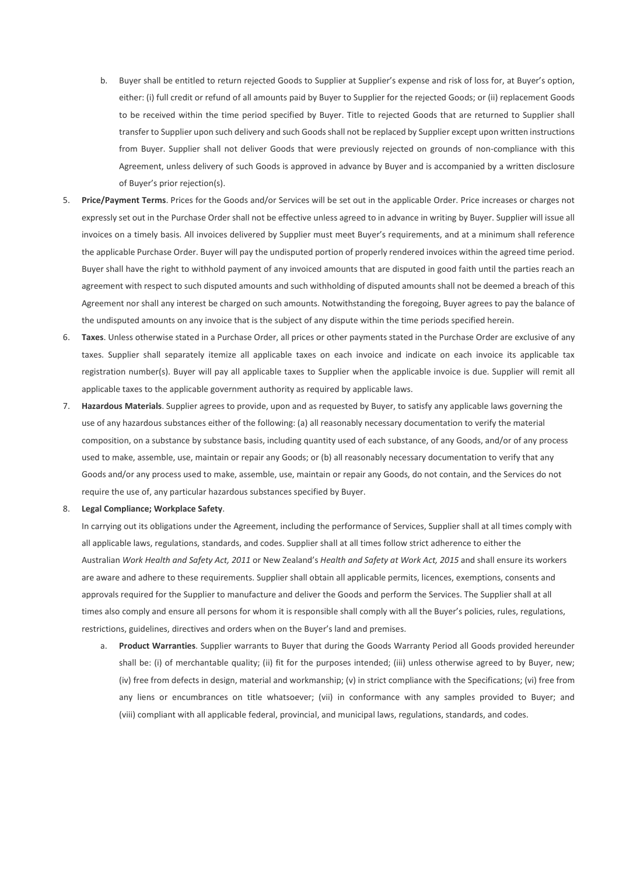- b. Buyer shall be entitled to return rejected Goods to Supplier at Supplier's expense and risk of loss for, at Buyer's option, either: (i) full credit or refund of all amounts paid by Buyer to Supplier for the rejected Goods; or (ii) replacement Goods to be received within the time period specified by Buyer. Title to rejected Goods that are returned to Supplier shall transfer to Supplier upon such delivery and such Goods shall not be replaced by Supplier except upon written instructions from Buyer. Supplier shall not deliver Goods that were previously rejected on grounds of non-compliance with this Agreement, unless delivery of such Goods is approved in advance by Buyer and is accompanied by a written disclosure of Buyer's prior rejection(s).
- 5. **Price/Payment Terms**. Prices for the Goods and/or Services will be set out in the applicable Order. Price increases or charges not expressly set out in the Purchase Order shall not be effective unless agreed to in advance in writing by Buyer. Supplier will issue all invoices on a timely basis. All invoices delivered by Supplier must meet Buyer's requirements, and at a minimum shall reference the applicable Purchase Order. Buyer will pay the undisputed portion of properly rendered invoices within the agreed time period. Buyer shall have the right to withhold payment of any invoiced amounts that are disputed in good faith until the parties reach an agreement with respect to such disputed amounts and such withholding of disputed amounts shall not be deemed a breach of this Agreement nor shall any interest be charged on such amounts. Notwithstanding the foregoing, Buyer agrees to pay the balance of the undisputed amounts on any invoice that is the subject of any dispute within the time periods specified herein.
- 6. **Taxes**. Unless otherwise stated in a Purchase Order, all prices or other payments stated in the Purchase Order are exclusive of any taxes. Supplier shall separately itemize all applicable taxes on each invoice and indicate on each invoice its applicable tax registration number(s). Buyer will pay all applicable taxes to Supplier when the applicable invoice is due. Supplier will remit all applicable taxes to the applicable government authority as required by applicable laws.
- 7. **Hazardous Materials**. Supplier agrees to provide, upon and as requested by Buyer, to satisfy any applicable laws governing the use of any hazardous substances either of the following: (a) all reasonably necessary documentation to verify the material composition, on a substance by substance basis, including quantity used of each substance, of any Goods, and/or of any process used to make, assemble, use, maintain or repair any Goods; or (b) all reasonably necessary documentation to verify that any Goods and/or any process used to make, assemble, use, maintain or repair any Goods, do not contain, and the Services do not require the use of, any particular hazardous substances specified by Buyer.

#### 8. **Legal Compliance; Workplace Safety**.

In carrying out its obligations under the Agreement, including the performance of Services, Supplier shall at all times comply with all applicable laws, regulations, standards, and codes. Supplier shall at all times follow strict adherence to either the Australian *Work Health and Safety Act, 2011* or New Zealand's *Health and Safety at Work Act, 2015* and shall ensure its workers are aware and adhere to these requirements. Supplier shall obtain all applicable permits, licences, exemptions, consents and approvals required for the Supplier to manufacture and deliver the Goods and perform the Services. The Supplier shall at all times also comply and ensure all persons for whom it is responsible shall comply with all the Buyer's policies, rules, regulations, restrictions, guidelines, directives and orders when on the Buyer's land and premises.

a. **Product Warranties**. Supplier warrants to Buyer that during the Goods Warranty Period all Goods provided hereunder shall be: (i) of merchantable quality; (ii) fit for the purposes intended; (iii) unless otherwise agreed to by Buyer, new; (iv) free from defects in design, material and workmanship; (v) in strict compliance with the Specifications; (vi) free from any liens or encumbrances on title whatsoever; (vii) in conformance with any samples provided to Buyer; and (viii) compliant with all applicable federal, provincial, and municipal laws, regulations, standards, and codes.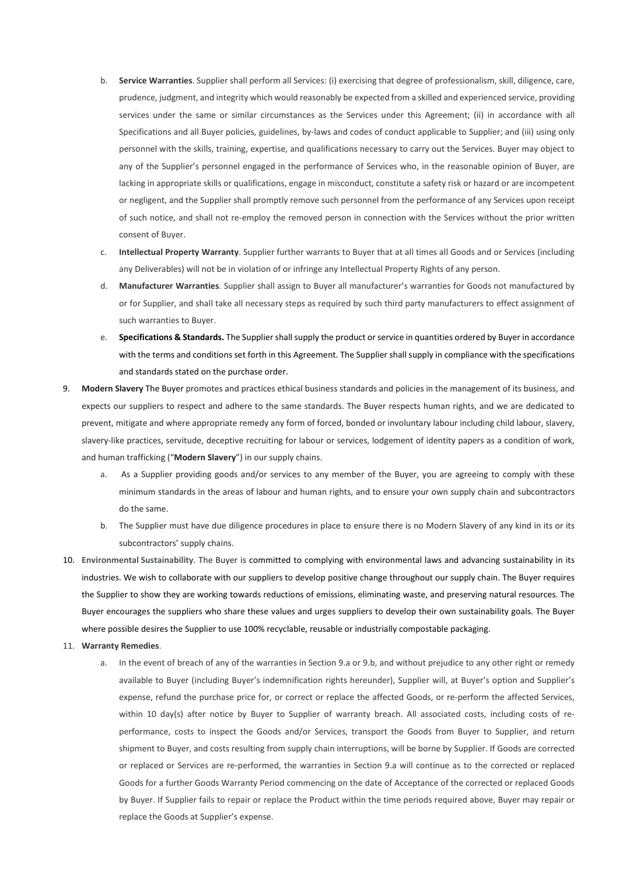- b. **Service Warranties**. Supplier shall perform all Services: (i) exercising that degree of professionalism, skill, diligence, care, prudence, judgment, and integrity which would reasonably be expected from a skilled and experienced service, providing services under the same or similar circumstances as the Services under this Agreement; (ii) in accordance with all Specifications and all Buyer policies, guidelines, by-laws and codes of conduct applicable to Supplier; and (iii) using only personnel with the skills, training, expertise, and qualifications necessary to carry out the Services. Buyer may object to any of the Supplier's personnel engaged in the performance of Services who, in the reasonable opinion of Buyer, are lacking in appropriate skills or qualifications, engage in misconduct, constitute a safety risk or hazard or are incompetent or negligent, and the Supplier shall promptly remove such personnel from the performance of any Services upon receipt of such notice, and shall not re-employ the removed person in connection with the Services without the prior written consent of Buyer.
- c. **Intellectual Property Warranty**. Supplier further warrants to Buyer that at all times all Goods and or Services (including any Deliverables) will not be in violation of or infringe any Intellectual Property Rights of any person.
- d. **Manufacturer Warranties**. Supplier shall assign to Buyer all manufacturer's warranties for Goods not manufactured by or for Supplier, and shall take all necessary steps as required by such third party manufacturers to effect assignment of such warranties to Buyer.
- e. **Specifications & Standards.** The Supplier shall supply the product or service in quantities ordered by Buyer in accordance with the terms and conditions set forth in this Agreement. The Supplier shall supply in compliance with the specifications and standards stated on the purchase order.
- 9. **Modern Slavery** The Buyer promotes and practices ethical business standards and policies in the management of its business, and expects our suppliers to respect and adhere to the same standards. The Buyer respects human rights, and we are dedicated to prevent, mitigate and where appropriate remedy any form of forced, bonded or involuntary labour including child labour, slavery, slavery-like practices, servitude, deceptive recruiting for labour or services, lodgement of identity papers as a condition of work, and human trafficking ("**Modern Slavery**") in our supply chains.
	- a. As a Supplier providing goods and/or services to any member of the Buyer, you are agreeing to comply with these minimum standards in the areas of labour and human rights, and to ensure your own supply chain and subcontractors do the same.
	- b. The Supplier must have due diligence procedures in place to ensure there is no Modern Slavery of any kind in its or its subcontractors' supply chains.
- 10. **Environmental Sustainability**. The Buyer is committed to complying with environmental laws and advancing sustainability in its industries. We wish to collaborate with our suppliers to develop positive change throughout our supply chain. The Buyer requires the Supplier to show they are working towards reductions of emissions, eliminating waste, and preserving natural resources. The Buyer encourages the suppliers who share these values and urges suppliers to develop their own sustainability goals. The Buyer where possible desires the Supplier to use 100% recyclable, reusable or industrially compostable packaging.
- 11. **Warranty Remedies**.
	- a. In the event of breach of any of the warranties in Section 9.a or 9.b, and without prejudice to any other right or remedy available to Buyer (including Buyer's indemnification rights hereunder), Supplier will, at Buyer's option and Supplier's expense, refund the purchase price for, or correct or replace the affected Goods, or re-perform the affected Services, within 10 day(s) after notice by Buyer to Supplier of warranty breach. All associated costs, including costs of reperformance, costs to inspect the Goods and/or Services, transport the Goods from Buyer to Supplier, and return shipment to Buyer, and costs resulting from supply chain interruptions, will be borne by Supplier. If Goods are corrected or replaced or Services are re-performed, the warranties in Section 9.a will continue as to the corrected or replaced Goods for a further Goods Warranty Period commencing on the date of Acceptance of the corrected or replaced Goods by Buyer. If Supplier fails to repair or replace the Product within the time periods required above, Buyer may repair or replace the Goods at Supplier's expense.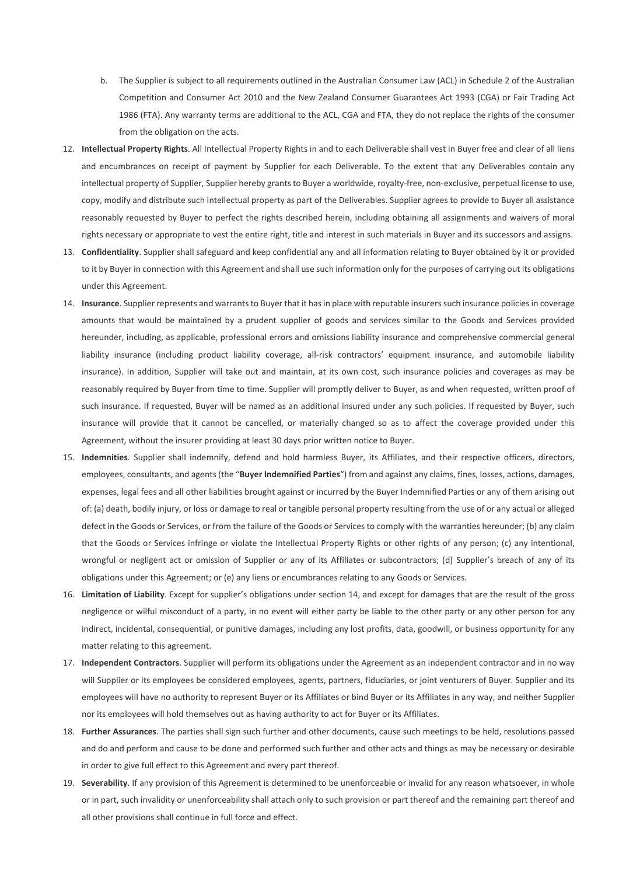- b. The Supplier is subject to all requirements outlined in the Australian Consumer Law (ACL) in Schedule 2 of the Australian Competition and Consumer Act 2010 and the New Zealand Consumer Guarantees Act 1993 (CGA) or Fair Trading Act 1986 (FTA). Any warranty terms are additional to the ACL, CGA and FTA, they do not replace the rights of the consumer from the obligation on the acts.
- 12. **Intellectual Property Rights**. All Intellectual Property Rights in and to each Deliverable shall vest in Buyer free and clear of all liens and encumbrances on receipt of payment by Supplier for each Deliverable. To the extent that any Deliverables contain any intellectual property of Supplier, Supplier hereby grants to Buyer a worldwide, royalty-free, non-exclusive, perpetual license to use, copy, modify and distribute such intellectual property as part of the Deliverables. Supplier agrees to provide to Buyer all assistance reasonably requested by Buyer to perfect the rights described herein, including obtaining all assignments and waivers of moral rights necessary or appropriate to vest the entire right, title and interest in such materials in Buyer and its successors and assigns.
- 13. **Confidentiality**. Supplier shall safeguard and keep confidential any and all information relating to Buyer obtained by it or provided to it by Buyer in connection with this Agreement and shall use such information only for the purposes of carrying out its obligations under this Agreement.
- 14. **Insurance**. Supplier represents and warrants to Buyer that it has in place with reputable insurers such insurance policies in coverage amounts that would be maintained by a prudent supplier of goods and services similar to the Goods and Services provided hereunder, including, as applicable, professional errors and omissions liability insurance and comprehensive commercial general liability insurance (including product liability coverage, all-risk contractors' equipment insurance, and automobile liability insurance). In addition, Supplier will take out and maintain, at its own cost, such insurance policies and coverages as may be reasonably required by Buyer from time to time. Supplier will promptly deliver to Buyer, as and when requested, written proof of such insurance. If requested, Buyer will be named as an additional insured under any such policies. If requested by Buyer, such insurance will provide that it cannot be cancelled, or materially changed so as to affect the coverage provided under this Agreement, without the insurer providing at least 30 days prior written notice to Buyer.
- 15. **Indemnities**. Supplier shall indemnify, defend and hold harmless Buyer, its Affiliates, and their respective officers, directors, employees, consultants, and agents (the "**Buyer Indemnified Parties**") from and against any claims, fines, losses, actions, damages, expenses, legal fees and all other liabilities brought against or incurred by the Buyer Indemnified Parties or any of them arising out of: (a) death, bodily injury, or loss or damage to real or tangible personal property resulting from the use of or any actual or alleged defect in the Goods or Services, or from the failure of the Goods or Services to comply with the warranties hereunder; (b) any claim that the Goods or Services infringe or violate the Intellectual Property Rights or other rights of any person; (c) any intentional, wrongful or negligent act or omission of Supplier or any of its Affiliates or subcontractors; (d) Supplier's breach of any of its obligations under this Agreement; or (e) any liens or encumbrances relating to any Goods or Services.
- 16. **Limitation of Liability**. Except for supplier's obligations under section 14, and except for damages that are the result of the gross negligence or wilful misconduct of a party, in no event will either party be liable to the other party or any other person for any indirect, incidental, consequential, or punitive damages, including any lost profits, data, goodwill, or business opportunity for any matter relating to this agreement.
- 17. **Independent Contractors**. Supplier will perform its obligations under the Agreement as an independent contractor and in no way will Supplier or its employees be considered employees, agents, partners, fiduciaries, or joint venturers of Buyer. Supplier and its employees will have no authority to represent Buyer or its Affiliates or bind Buyer or its Affiliates in any way, and neither Supplier nor its employees will hold themselves out as having authority to act for Buyer or its Affiliates.
- 18. **Further Assurances**. The parties shall sign such further and other documents, cause such meetings to be held, resolutions passed and do and perform and cause to be done and performed such further and other acts and things as may be necessary or desirable in order to give full effect to this Agreement and every part thereof.
- 19. **Severability**. If any provision of this Agreement is determined to be unenforceable or invalid for any reason whatsoever, in whole or in part, such invalidity or unenforceability shall attach only to such provision or part thereof and the remaining part thereof and all other provisions shall continue in full force and effect.